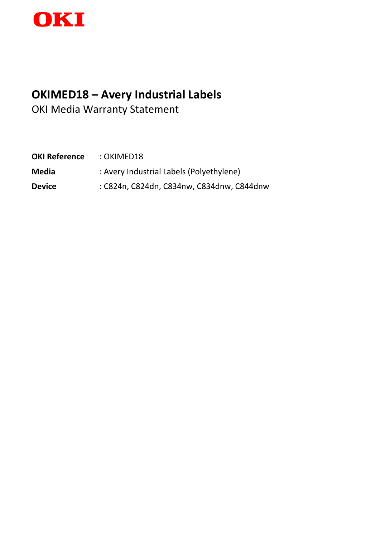

# **OKIMED18 – Avery Industrial Labels**

OKI Media Warranty Statement

| <b>OKI Reference</b> | : OKIMED18                                |
|----------------------|-------------------------------------------|
| Media                | : Avery Industrial Labels (Polyethylene)  |
| Device               | : C824n, C824dn, C834nw, C834dnw, C844dnw |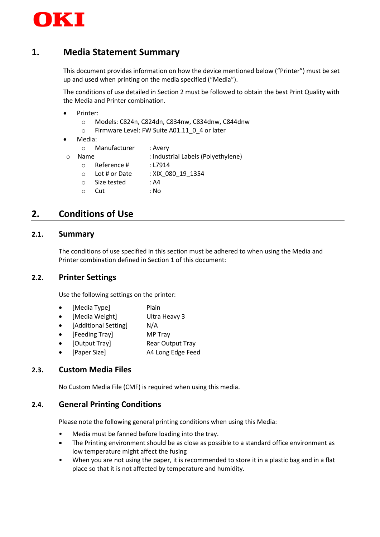

## **1. Media Statement Summary**

This document provides information on how the device mentioned below ("Printer") must be set up and used when printing on the media specified ("Media").

The conditions of use detailed in Section 2 must be followed to obtain the best Print Quality with the Media and Printer combination.

- Printer:
	- o Models: C824n, C824dn, C834nw, C834dnw, C844dnw
	- o Firmware Level: FW Suite A01.11\_0\_4 or later
- Media:

| : Industrial Labels (Polyethylene) |
|------------------------------------|
|                                    |
|                                    |
|                                    |
|                                    |
|                                    |

# **2. Conditions of Use**

#### **2.1. Summary**

The conditions of use specified in this section must be adhered to when using the Media and Printer combination defined in Section 1 of this document:

#### **2.2. Printer Settings**

Use the following settings on the printer:

- [Media Type] Plain
- [Media Weight] Ultra Heavy 3
- [Additional Setting] N/A
- [Feeding Tray] MP Tray
	- [Output Tray] Rear Output Tray
- [Paper Size] A4 Long Edge Feed

#### **2.3. Custom Media Files**

No Custom Media File (CMF) is required when using this media.

#### **2.4. General Printing Conditions**

Please note the following general printing conditions when using this Media:

- Media must be fanned before loading into the tray.
- The Printing environment should be as close as possible to a standard office environment as low temperature might affect the fusing
- When you are not using the paper, it is recommended to store it in a plastic bag and in a flat place so that it is not affected by temperature and humidity.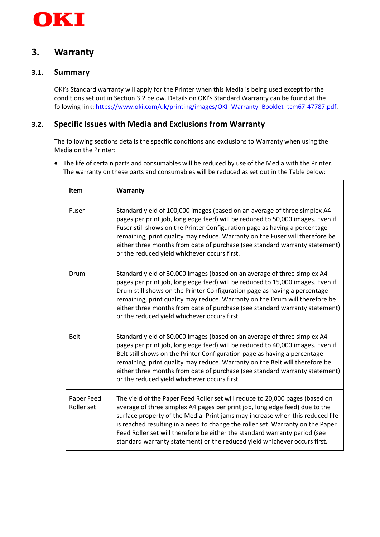

### **3. Warranty**

#### **3.1. Summary**

OKI's Standard warranty will apply for the Printer when this Media is being used except for the conditions set out in Section 3.2 below. Details on OKI's Standard Warranty can be found at the following link: [https://www.oki.com/uk/printing/images/OKI\\_Warranty\\_Booklet\\_tcm67-47787.pdf.](https://www.oki.com/uk/printing/images/OKI_Warranty_Booklet_tcm67-47787.pdf)

## **3.2. Specific Issues with Media and Exclusions from Warranty**

The following sections details the specific conditions and exclusions to Warranty when using the Media on the Printer:

• The life of certain parts and consumables will be reduced by use of the Media with the Printer. The warranty on these parts and consumables will be reduced as set out in the Table below:

| <b>Item</b>              | Warranty                                                                                                                                                                                                                                                                                                                                                                                                                                                                                  |
|--------------------------|-------------------------------------------------------------------------------------------------------------------------------------------------------------------------------------------------------------------------------------------------------------------------------------------------------------------------------------------------------------------------------------------------------------------------------------------------------------------------------------------|
| Fuser                    | Standard yield of 100,000 images (based on an average of three simplex A4<br>pages per print job, long edge feed) will be reduced to 50,000 images. Even if<br>Fuser still shows on the Printer Configuration page as having a percentage<br>remaining, print quality may reduce. Warranty on the Fuser will therefore be<br>either three months from date of purchase (see standard warranty statement)<br>or the reduced yield whichever occurs first.                                  |
| Drum                     | Standard yield of 30,000 images (based on an average of three simplex A4<br>pages per print job, long edge feed) will be reduced to 15,000 images. Even if<br>Drum still shows on the Printer Configuration page as having a percentage<br>remaining, print quality may reduce. Warranty on the Drum will therefore be<br>either three months from date of purchase (see standard warranty statement)<br>or the reduced yield whichever occurs first.                                     |
| <b>Belt</b>              | Standard yield of 80,000 images (based on an average of three simplex A4<br>pages per print job, long edge feed) will be reduced to 40,000 images. Even if<br>Belt still shows on the Printer Configuration page as having a percentage<br>remaining, print quality may reduce. Warranty on the Belt will therefore be<br>either three months from date of purchase (see standard warranty statement)<br>or the reduced yield whichever occurs first.                                     |
| Paper Feed<br>Roller set | The yield of the Paper Feed Roller set will reduce to 20,000 pages (based on<br>average of three simplex A4 pages per print job, long edge feed) due to the<br>surface property of the Media. Print jams may increase when this reduced life<br>is reached resulting in a need to change the roller set. Warranty on the Paper<br>Feed Roller set will therefore be either the standard warranty period (see<br>standard warranty statement) or the reduced yield whichever occurs first. |